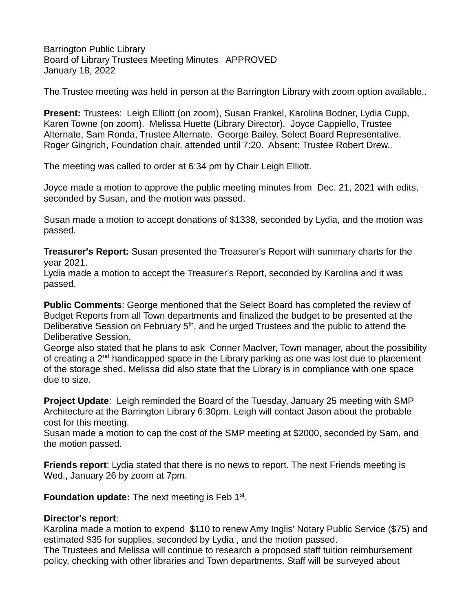Barrington Public Library Board of Library Trustees Meeting Minutes APPROVED January 18, 2022

The Trustee meeting was held in person at the Barrington Library with zoom option available..

**Present:** Trustees: Leigh Elliott (on zoom), Susan Frankel, Karolina Bodner, Lydia Cupp, Karen Towne (on zoom). Melissa Huette (Library Director). Joyce Cappiello, Trustee Alternate, Sam Ronda, Trustee Alternate. George Bailey, Select Board Representative. Roger Gingrich, Foundation chair, attended until 7:20. Absent: Trustee Robert Drew..

The meeting was called to order at 6:34 pm by Chair Leigh Elliott.

Joyce made a motion to approve the public meeting minutes from Dec. 21, 2021 with edits, seconded by Susan, and the motion was passed.

Susan made a motion to accept donations of \$1338, seconded by Lydia, and the motion was passed.

**Treasurer's Report:** Susan presented the Treasurer's Report with summary charts for the year 2021.

Lydia made a motion to accept the Treasurer's Report, seconded by Karolina and it was passed.

**Public Comments**: George mentioned that the Select Board has completed the review of Budget Reports from all Town departments and finalized the budget to be presented at the Deliberative Session on February 5<sup>th</sup>, and he urged Trustees and the public to attend the Deliberative Session.

George also stated that he plans to ask Conner MacIver, Town manager, about the possibility of creating a 2<sup>nd</sup> handicapped space in the Library parking as one was lost due to placement of the storage shed. Melissa did also state that the Library is in compliance with one space due to size.

**Project Update**: Leigh reminded the Board of the Tuesday, January 25 meeting with SMP Architecture at the Barrington Library 6:30pm. Leigh will contact Jason about the probable cost for this meeting.

Susan made a motion to cap the cost of the SMP meeting at \$2000, seconded by Sam, and the motion passed.

**Friends report**: Lydia stated that there is no news to report. The next Friends meeting is Wed., January 26 by zoom at 7pm.

Foundation update: The next meeting is Feb 1<sup>st</sup>.

## **Director's report**:

Karolina made a motion to expend \$110 to renew Amy Inglis' Notary Public Service (\$75) and estimated \$35 for supplies, seconded by Lydia , and the motion passed.

The Trustees and Melissa will continue to research a proposed staff tuition reimbursement policy, checking with other libraries and Town departments. Staff will be surveyed about